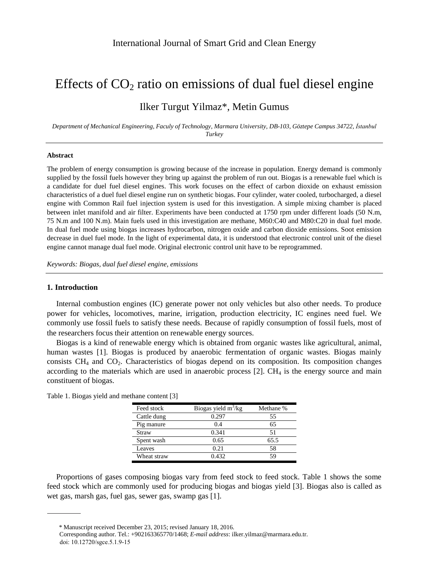# Effects of  $CO<sub>2</sub>$  ratio on emissions of dual fuel diesel engine

## Ilker Turgut Yilmaz\*, Metin Gumus

*Department of Mechanical Engineering, Faculy of Technology, Marmara University, DB-103, Göztepe Campus 34722, İstanbul Turkey*

#### **Abstract**

The problem of energy consumption is growing because of the increase in population. Energy demand is commonly supplied by the fossil fuels however they bring up against the problem of run out. Biogas is a renewable fuel which is a candidate for duel fuel diesel engines. This work focuses on the effect of carbon dioxide on exhaust emission characteristics of a duel fuel diesel engine run on synthetic biogas. Four cylinder, water cooled, turbocharged, a diesel engine with Common Rail fuel injection system is used for this investigation. A simple mixing chamber is placed between inlet manifold and air filter. Experiments have been conducted at 1750 rpm under different loads (50 N.m, 75 N.m and 100 N.m). Main fuels used in this investigation are methane, M60:C40 and M80:C20 in dual fuel mode. In dual fuel mode using biogas increases hydrocarbon, nitrogen oxide and carbon dioxide emissions. Soot emission decrease in duel fuel mode. In the light of experimental data, it is understood that electronic control unit of the diesel engine cannot manage dual fuel mode. Original electronic control unit have to be reprogrammed.

*Keywords: Biogas, dual fuel diesel engine, emissions*

#### **1. Introduction**

Internal combustion engines (IC) generate power not only vehicles but also other needs. To produce power for vehicles, locomotives, marine, irrigation, production electricity, IC engines need fuel. We commonly use fossil fuels to satisfy these needs. Because of rapidly consumption of fossil fuels, most of the researchers focus their attention on renewable energy sources.

Biogas is a kind of renewable energy which is obtained from organic wastes like agricultural, animal, human wastes [1]. Biogas is produced by anaerobic fermentation of organic wastes. Biogas mainly consists  $CH_4$  and  $CO_2$ . Characteristics of biogas depend on its composition. Its composition changes according to the materials which are used in anaerobic process  $[2]$ . CH<sub>4</sub> is the energy source and main constituent of biogas.

| Feed stock    | Biogas yield $m^3/kg$ | Methane % |
|---------------|-----------------------|-----------|
| Cattle dung   | 0.297                 | 55        |
| Pig manure    | 0.4                   | 65        |
| Straw         | 0.341                 | 51        |
| Spent wash    | 0.65                  | 65.5      |
| <b>Leaves</b> | 0.21                  | 58        |
| Wheat straw   | 0.432                 | 59        |

Table 1. Biogas yield and methane content [3]

Proportions of gases composing biogas vary from feed stock to feed stock. Table 1 shows the some feed stock which are commonly used for producing biogas and biogas yield [3]. Biogas also is called as wet gas, marsh gas, fuel gas, sewer gas, swamp gas [1].

<sup>\*</sup> Manuscript received December 23, 2015; revised January 18, 2016.

doi: 10.12720/sgce.5.1.9-15 Corresponding author. Tel.: +902163365770/1468; *E-mail address*: ilker.yilmaz@marmara.edu.tr.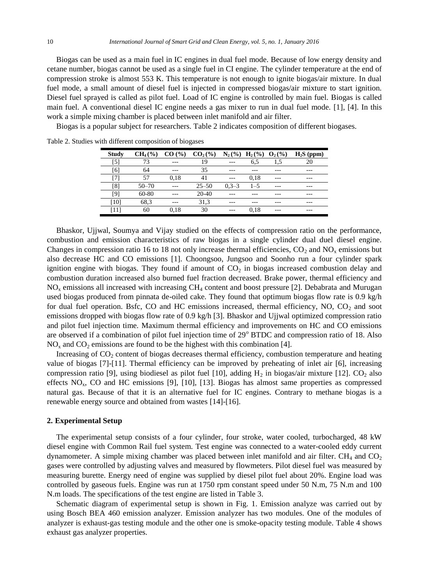Biogas can be used as a main fuel in IC engines in dual fuel mode. Because of low energy density and cetane number, biogas cannot be used as a single fuel in CI engine. The cylinder temperature at the end of compression stroke is almost 553 K. This temperature is not enough to ignite biogas/air mixture. In dual fuel mode, a small amount of diesel fuel is injected in compressed biogas/air mixture to start ignition. Diesel fuel sprayed is called as pilot fuel. Load of IC engine is controlled by main fuel. Biogas is called main fuel. A conventional diesel IC engine needs a gas mixer to run in dual fuel mode. [1], [4]. In this work a simple mixing chamber is placed between inlet manifold and air filter.

Biogas is a popular subject for researchers. Table 2 indicates composition of different biogases.

| <b>Study</b> | $CH4(\%)$ | CO (%) | $CO2(\%)$ | $N_2$ (%) | $H_2(\%)$ | $O_2(\%)$ | $H_2S$ (ppm) |
|--------------|-----------|--------|-----------|-----------|-----------|-----------|--------------|
| [5]          | 73        | ---    | 19        |           | 6.5       | 1.5       |              |
| [6]          | 64        | ---    | 35        | ---       |           |           | ---          |
|              | 57        | 0.18   | 41        |           | 0.18      | $- - -$   | ---          |
| [8]          | $50 - 70$ | ---    | $25 - 50$ | $0.3 - 3$ | $1 - 5$   | ---       | ---          |
| [9]          | 60-80     | ---    | 20-40     |           |           | ---       | ---          |
| [10]         | 68,3      |        | 31,3      |           |           | ---       | ---          |
| [11]         | 60        | 0.18   | 30        | ---       | 0.18      | ---       | ---          |

Table 2. Studies with different composition of biogases

Bhaskor, Ujjwal, Soumya and Vijay studied on the effects of compression ratio on the performance, combustion and emission characteristics of raw biogas in a single cylinder dual duel diesel engine. Changes in compression ratio 16 to 18 not only increase thermal efficiencies,  $CO_2$  and  $NO<sub>x</sub>$  emissions but also decrease HC and CO emissions [1]. Choongsoo, Jungsoo and Soonho run a four cylinder spark ignition engine with biogas. They found if amount of  $CO<sub>2</sub>$  in biogas increased combustion delay and combustion duration increased also burned fuel fraction decreased. Brake power, thermal efficiency and  $NO<sub>x</sub>$  emissions all increased with increasing CH<sub>4</sub> content and boost pressure [2]. Debabrata and Murugan used biogas produced from pinnata de-oiled cake. They found that optimum biogas flow rate is 0.9 kg/h for dual fuel operation. Bsfc, CO and HC emissions increased, thermal efficiency, NO, CO<sub>2</sub> and soot emissions dropped with biogas flow rate of 0.9 kg/h [3]. Bhaskor and Ujjwal optimized compression ratio and pilot fuel injection time. Maximum thermal efficiency and improvements on HC and CO emissions are observed if a combination of pilot fuel injection time of  $29^{\circ}$  BTDC and compression ratio of 18. Also  $NO<sub>x</sub>$  and  $CO<sub>2</sub>$  emissions are found to be the highest with this combination [4].

Increasing of  $CO<sub>2</sub>$  content of biogas decreases thermal efficiency, combustion temperature and heating value of biogas [7]-[11]. Thermal efficiency can be improved by preheating of inlet air [6], increasing compression ratio [9], using biodiesel as pilot fuel [10], adding  $H_2$  in biogas/air mixture [12]. CO<sub>2</sub> also effects  $NO<sub>x</sub>$ , CO and HC emissions [9], [10], [13]. Biogas has almost same properties as compressed natural gas. Because of that it is an alternative fuel for IC engines. Contrary to methane biogas is a renewable energy source and obtained from wastes [14]-[16].

#### **2. Experimental Setup**

The experimental setup consists of a four cylinder, four stroke, water cooled, turbocharged, 48 kW diesel engine with Common Rail fuel system. Test engine was connected to a water-cooled eddy current dynamometer. A simple mixing chamber was placed between inlet manifold and air filter. CH<sub>4</sub> and  $CO<sub>2</sub>$ gases were controlled by adjusting valves and measured by flowmeters. Pilot diesel fuel was measured by measuring burette. Energy need of engine was supplied by diesel pilot fuel about 20%. Engine load was controlled by gaseous fuels. Engine was run at 1750 rpm constant speed under 50 N.m, 75 N.m and 100 N.m loads. The specifications of the test engine are listed in Table 3.

Schematic diagram of experimental setup is shown in Fig. 1. Emission analyze was carried out by using Bosch BEA 460 emission analyzer. Emission analyzer has two modules. One of the modules of analyzer is exhaust-gas testing module and the other one is smoke-opacity testing module. Table 4 shows exhaust gas analyzer properties.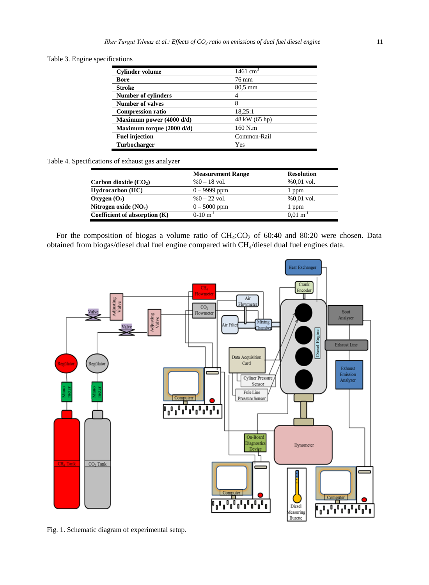Table 3. Engine specifications

| <b>Cylinder volume</b>     | $1461 \text{ cm}^3$ |
|----------------------------|---------------------|
| <b>Bore</b>                | 76 mm               |
| <b>Stroke</b>              | 80,5 mm             |
| <b>Number of cylinders</b> |                     |
| <b>Number of valves</b>    | 8                   |
| <b>Compression ratio</b>   | 18,25:1             |
| Maximum power (4000 d/d)   | 48 kW (65 hp)       |
| Maximum torque (2000 d/d)  | 160 N.m             |
| <b>Fuel injection</b>      | Common-Rail         |
| <b>Turbocharger</b>        | Yes                 |

Table 4. Specifications of exhaust gas analyzer

|                                 | <b>Measurement Range</b> | <b>Resolution</b>     |
|---------------------------------|--------------------------|-----------------------|
| Carbon dioxide $(CO_2)$         | $%0 - 18$ vol.           | $%0.01$ vol.          |
| <b>Hydrocarbon</b> (HC)         | $0 - 9999$ ppm           | 1 ppm                 |
| Oxygen $(O_2)$                  | $%0 - 22$ vol.           | $%0.01$ vol.          |
| Nitrogen oxide $(NO_x)$         | $0 - 5000$ ppm           | l ppm                 |
| Coefficient of absorption $(K)$ | $0-10$ m <sup>-1</sup>   | $0.01 \text{ m}^{-1}$ |

For the composition of biogas a volume ratio of  $CH_4:CO_2$  of 60:40 and 80:20 were chosen. Data obtained from biogas/diesel dual fuel engine compared with CH<sub>4</sub>/diesel dual fuel engines data.



Fig. 1. Schematic diagram of experimental setup.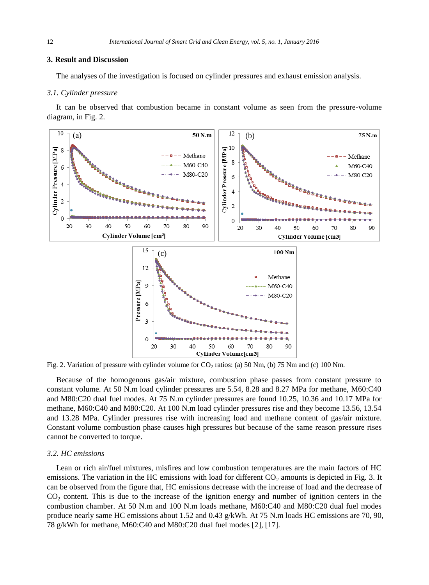#### **3. Result and Discussion**

The analyses of the investigation is focused on cylinder pressures and exhaust emission analysis.

#### *3.1. Cylinder pressure*

It can be observed that combustion became in constant volume as seen from the pressure-volume diagram, in Fig. 2.



Fig. 2. Variation of pressure with cylinder volume for  $CO_2$  ratios: (a) 50 Nm, (b) 75 Nm and (c) 100 Nm.

Because of the homogenous gas/air mixture, combustion phase passes from constant pressure to constant volume. At 50 N.m load cylinder pressures are 5.54, 8.28 and 8.27 MPa for methane, M60:C40 and M80:C20 dual fuel modes. At 75 N.m cylinder pressures are found 10.25, 10.36 and 10.17 MPa for methane, M60:C40 and M80:C20. At 100 N.m load cylinder pressures rise and they become 13.56, 13.54 and 13.28 MPa. Cylinder pressures rise with increasing load and methane content of gas/air mixture. Constant volume combustion phase causes high pressures but because of the same reason pressure rises cannot be converted to torque.

#### *3.2. HC emissions*

Lean or rich air/fuel mixtures, misfires and low combustion temperatures are the main factors of HC emissions. The variation in the HC emissions with load for different  $CO_2$  amounts is depicted in Fig. 3. It can be observed from the figure that, HC emissions decrease with the increase of load and the decrease of  $CO<sub>2</sub>$  content. This is due to the increase of the ignition energy and number of ignition centers in the combustion chamber. At 50 N.m and 100 N.m loads methane, M60:C40 and M80:C20 dual fuel modes produce nearly same HC emissions about 1.52 and 0.43 g/kWh. At 75 N.m loads HC emissions are 70, 90, 78 g/kWh for methane, M60:C40 and M80:C20 dual fuel modes [2], [17].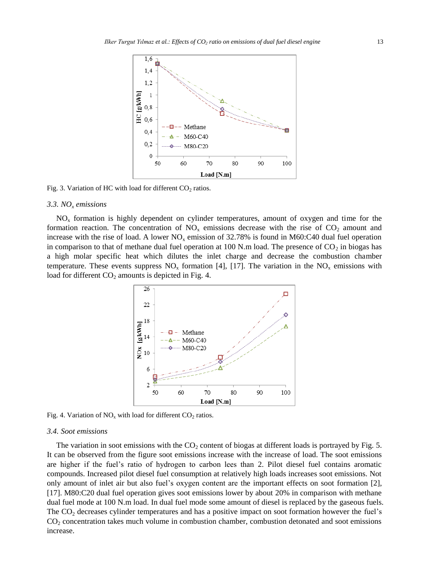

Fig. 3. Variation of HC with load for different  $CO_2$  ratios.

#### *3.3. NO<sup>x</sup> emissions*

 $NO<sub>x</sub>$  formation is highly dependent on cylinder temperatures, amount of oxygen and time for the formation reaction. The concentration of  $NO<sub>x</sub>$  emissions decrease with the rise of  $CO<sub>2</sub>$  amount and increase with the rise of load. A lower  $NO<sub>x</sub>$  emission of 32.78% is found in M60:C40 dual fuel operation in comparison to that of methane dual fuel operation at 100 N.m load. The presence of  $CO<sub>2</sub>$  in biogas has a high molar specific heat which dilutes the inlet charge and decrease the combustion chamber temperature. These events suppress  $NO<sub>x</sub>$  formation [4], [17]. The variation in the  $NO<sub>x</sub>$  emissions with load for different  $CO<sub>2</sub>$  amounts is depicted in Fig. 4.



Fig. 4. Variation of  $NO_x$  with load for different  $CO_2$  ratios.

#### *3.4. Soot emissions*

The variation in soot emissions with the  $CO<sub>2</sub>$  content of biogas at different loads is portrayed by Fig. 5. It can be observed from the figure soot emissions increase with the increase of load. The soot emissions are higher if the fuel's ratio of hydrogen to carbon lees than 2. Pilot diesel fuel contains aromatic compounds. Increased pilot diesel fuel consumption at relatively high loads increases soot emissions. Not only amount of inlet air but also fuel's oxygen content are the important effects on soot formation [2], [17]. M80:C20 dual fuel operation gives soot emissions lower by about 20% in comparison with methane dual fuel mode at 100 N.m load. In dual fuel mode some amount of diesel is replaced by the gaseous fuels. The  $CO<sub>2</sub>$  decreases cylinder temperatures and has a positive impact on soot formation however the fuel's CO<sup>2</sup> concentration takes much volume in combustion chamber, combustion detonated and soot emissions increase.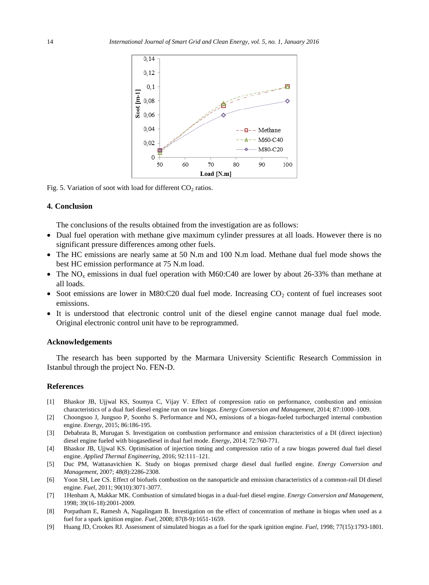

Fig. 5. Variation of soot with load for different  $CO_2$  ratios.

### **4. Conclusion**

The conclusions of the results obtained from the investigation are as follows:

- Dual fuel operation with methane give maximum cylinder pressures at all loads. However there is no significant pressure differences among other fuels.
- The HC emissions are nearly same at 50 N.m and 100 N.m load. Methane dual fuel mode shows the best HC emission performance at 75 N.m load.
- The  $NO_x$  emissions in dual fuel operation with M60:C40 are lower by about 26-33% than methane at all loads.
- Soot emissions are lower in M80:C20 dual fuel mode. Increasing  $CO<sub>2</sub>$  content of fuel increases soot emissions.
- It is understood that electronic control unit of the diesel engine cannot manage dual fuel mode. Original electronic control unit have to be reprogrammed.

#### **Acknowledgements**

The research has been supported by the Marmara University Scientific Research Commission in Istanbul through the project No. FEN-D.

#### **References**

- [1] Bhaskor JB, Ujjwal KS, Soumya C, Vijay V. Effect of compression ratio on performance, combustion and emission characteristics of a dual fuel diesel engine run on raw biogas. *Energy Conversion and Management*, 2014; 87:1000–1009.
- [2] Choongsoo J, Jungsoo P, Soonho S. Performance and NO<sup>x</sup> emissions of a biogas-fueled turbocharged internal combustion engine. *Energy*, 2015; 86:186-195.
- [3] Debabrata B, Murugan S. Investigation on combustion performance and emission characteristics of a DI (direct injection) diesel engine fueled with biogasediesel in dual fuel mode. *Energy*, 2014; 72:760-771.
- [4] Bhaskor JB, Ujjwal KS. Optimisation of injection timing and compression ratio of a raw biogas powered dual fuel diesel engine. *Applied Thermal Engineering*, 2016; 92:111–121.
- [5] Duc PM, Wattanavichien K. Study on biogas premixed charge diesel dual fuelled engine. *Energy Conversion and Management*, 2007; 48(8):2286-2308.
- [6] Yoon SH, Lee CS. Effect of biofuels combustion on the nanoparticle and emission characteristics of a common-rail DI diesel engine. *Fuel*, 2011; 90(10):3071-3077.
- [7] 1Henham A, Makkar MK. Combustion of simulated biogas in a dual-fuel diesel engine. *Energy Conversion and Management*, 1998; 39(16-18):2001-2009.
- [8] Porpatham E, Ramesh A, Nagalingam B. Investigation on the effect of concentration of methane in biogas when used as a fuel for a spark ignition engine*. Fuel*, 2008; 87(8-9):1651-1659.
- [9] Huang JD, Crookes RJ. Assessment of simulated biogas as a fuel for the spark ignition engine*. Fuel*, 1998; 77(15):1793-1801.